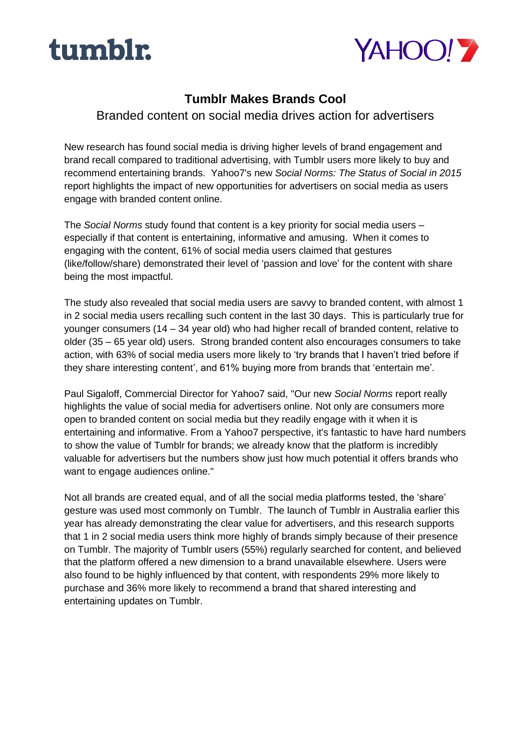



# **Tumblr Makes Brands Cool**

Branded content on social media drives action for advertisers

New research has found social media is driving higher levels of brand engagement and brand recall compared to traditional advertising, with Tumblr users more likely to buy and recommend entertaining brands. Yahoo7's new *Social Norms: The Status of Social in 2015*  report highlights the impact of new opportunities for advertisers on social media as users engage with branded content online.

The *Social Norms* study found that content is a key priority for social media users – especially if that content is entertaining, informative and amusing. When it comes to engaging with the content, 61% of social media users claimed that gestures (like/follow/share) demonstrated their level of 'passion and love' for the content with share being the most impactful.

The study also revealed that social media users are savvy to branded content, with almost 1 in 2 social media users recalling such content in the last 30 days. This is particularly true for younger consumers (14 – 34 year old) who had higher recall of branded content, relative to older (35 – 65 year old) users. Strong branded content also encourages consumers to take action, with 63% of social media users more likely to 'try brands that I haven't tried before if they share interesting content', and 61% buying more from brands that 'entertain me'.

Paul Sigaloff, Commercial Director for Yahoo7 said, "Our new *Social Norms* report really highlights the value of social media for advertisers online. Not only are consumers more open to branded content on social media but they readily engage with it when it is entertaining and informative. From a Yahoo7 perspective, it's fantastic to have hard numbers to show the value of Tumblr for brands; we already know that the platform is incredibly valuable for advertisers but the numbers show just how much potential it offers brands who want to engage audiences online."

Not all brands are created equal, and of all the social media platforms tested, the 'share' gesture was used most commonly on Tumblr. The launch of Tumblr in Australia earlier this year has already demonstrating the clear value for advertisers, and this research supports that 1 in 2 social media users think more highly of brands simply because of their presence on Tumblr. The majority of Tumblr users (55%) regularly searched for content, and believed that the platform offered a new dimension to a brand unavailable elsewhere. Users were also found to be highly influenced by that content, with respondents 29% more likely to purchase and 36% more likely to recommend a brand that shared interesting and entertaining updates on Tumblr.